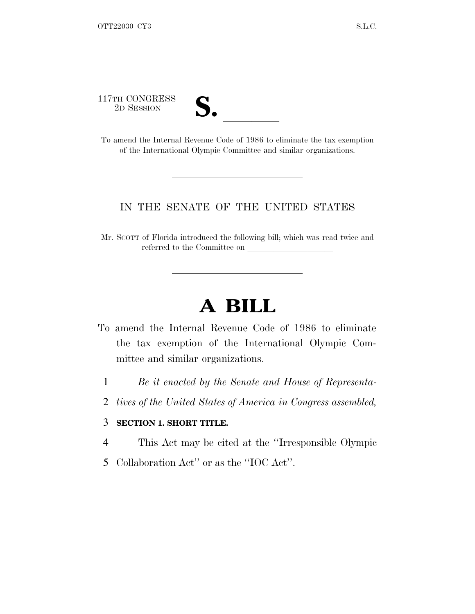117TH CONGRESS



<sup>17TH</sup> CONGRESS<br>
<sup>2D SESSION</sup><br> **S.** <u>Code</u> of 1986 to eliminate the tax exemption of the International Olympic Committee and similar organizations.

## IN THE SENATE OF THE UNITED STATES

Mr. SCOTT of Florida introduced the following bill; which was read twice and referred to the Committee on

## **A BILL**

- To amend the Internal Revenue Code of 1986 to eliminate the tax exemption of the International Olympic Committee and similar organizations.
	- 1 *Be it enacted by the Senate and House of Representa-*
	- 2 *tives of the United States of America in Congress assembled,*

## 3 **SECTION 1. SHORT TITLE.**

- 4 This Act may be cited at the ''Irresponsible Olympic
- 5 Collaboration Act'' or as the ''IOC Act''.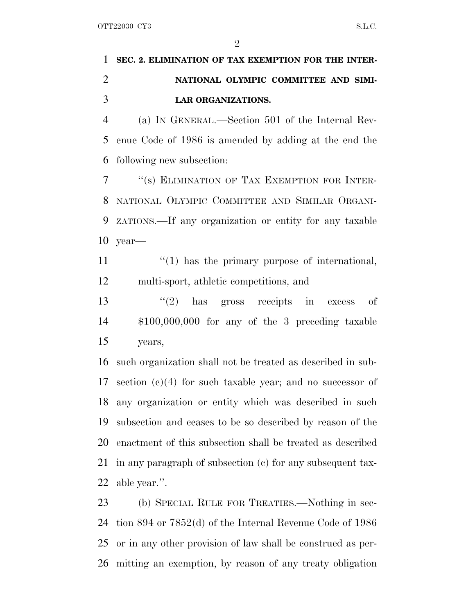$\mathfrak{D}$ 

## **SEC. 2. ELIMINATION OF TAX EXEMPTION FOR THE INTER- NATIONAL OLYMPIC COMMITTEE AND SIMI-LAR ORGANIZATIONS.**

 (a) I<sup>N</sup> GENERAL.—Section 501 of the Internal Rev- enue Code of 1986 is amended by adding at the end the following new subsection:

 ''(s) ELIMINATION OF TAX EXEMPTION FOR INTER- NATIONAL OLYMPIC COMMITTEE AND SIMILAR ORGANI- ZATIONS.—If any organization or entity for any taxable year—

 $\mathcal{L}(1)$  has the primary purpose of international, multi-sport, athletic competitions, and

13 ''(2) has gross receipts in excess of \$100,000,000 for any of the 3 preceding taxable years,

 such organization shall not be treated as described in sub- section (c)(4) for such taxable year; and no successor of any organization or entity which was described in such subsection and ceases to be so described by reason of the enactment of this subsection shall be treated as described in any paragraph of subsection (c) for any subsequent tax-able year.''.

 (b) SPECIAL RULE FOR TREATIES.—Nothing in sec- tion 894 or 7852(d) of the Internal Revenue Code of 1986 or in any other provision of law shall be construed as per-mitting an exemption, by reason of any treaty obligation